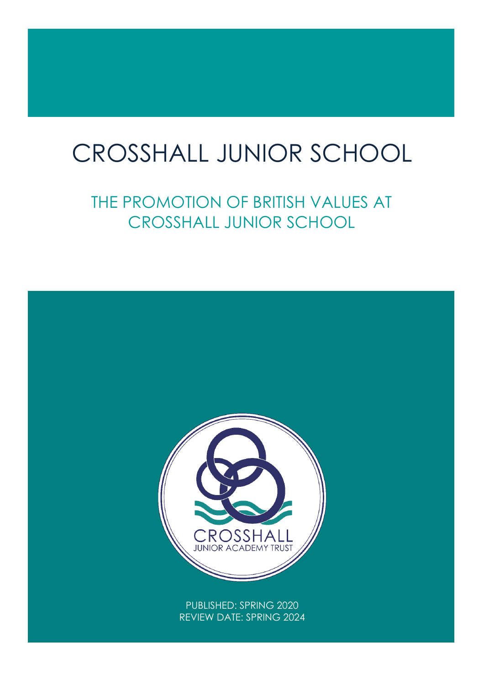# $\overline{1}$ CROSSHALL JUNIOR SCHOOL

THE PROMOTION OF BRITISH VALUES AT CROSSHALL JUNIOR SCHOOL

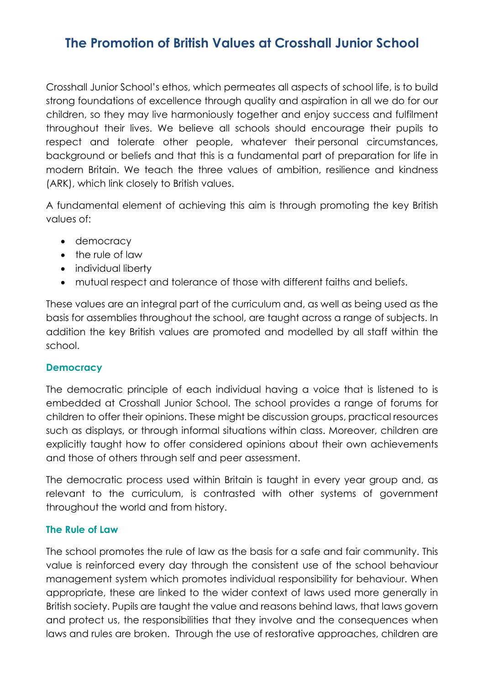# **The Promotion of British Values at Crosshall Junior School**

Crosshall Junior School's ethos, which permeates all aspects of school life, is to build strong foundations of excellence through quality and aspiration in all we do for our children, so they may live harmoniously together and enjoy success and fulfilment throughout their lives. We believe all schools should encourage their pupils to respect and tolerate other people, whatever their personal circumstances, background or beliefs and that this is a fundamental part of preparation for life in modern Britain. We teach the three values of ambition, resilience and kindness (ARK), which link closely to British values.

A fundamental element of achieving this aim is through promoting the key British values of:

- democracy
- the rule of law
- individual liberty
- mutual respect and tolerance of those with different faiths and beliefs.

These values are an integral part of the curriculum and, as well as being used as the basis for assemblies throughout the school, are taught across a range of subjects. In addition the key British values are promoted and modelled by all staff within the school.

# **Democracy**

The democratic principle of each individual having a voice that is listened to is embedded at Crosshall Junior School. The school provides a range of forums for children to offer their opinions. These might be discussion groups, practical resources such as displays, or through informal situations within class. Moreover, children are explicitly taught how to offer considered opinions about their own achievements and those of others through self and peer assessment.

The democratic process used within Britain is taught in every year group and, as relevant to the curriculum, is contrasted with other systems of government throughout the world and from history.

#### **The Rule of Law**

The school promotes the rule of law as the basis for a safe and fair community. This value is reinforced every day through the consistent use of the school behaviour management system which promotes individual responsibility for behaviour. When appropriate, these are linked to the wider context of laws used more generally in British society. Pupils are taught the value and reasons behind laws, that laws govern and protect us, the responsibilities that they involve and the consequences when laws and rules are broken. Through the use of restorative approaches, children are